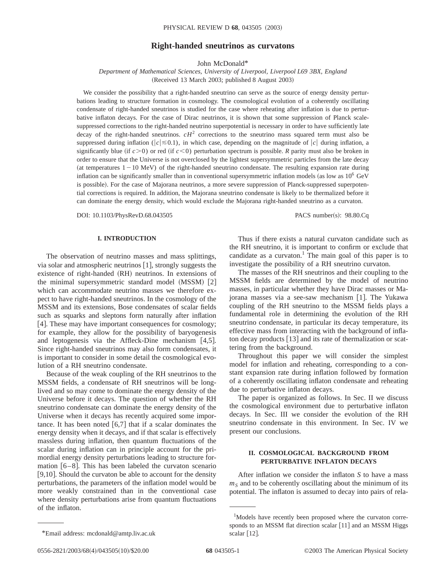# **Right-handed sneutrinos as curvatons**

John McDonald\*

*Department of Mathematical Sciences, University of Liverpool, Liverpool L69 3BX, England* (Received 13 March 2003; published 8 August 2003)

We consider the possibility that a right-handed sneutrino can serve as the source of energy density perturbations leading to structure formation in cosmology. The cosmological evolution of a coherently oscillating condensate of right-handed sneutrinos is studied for the case where reheating after inflation is due to perturbative inflaton decays. For the case of Dirac neutrinos, it is shown that some suppression of Planck scalesuppressed corrections to the right-handed neutrino superpotential is necessary in order to have sufficiently late decay of the right-handed sneutrinos.  $cH^2$  corrections to the sneutrino mass squared term must also be suppressed during inflation ( $|c| \le 0.1$ ), in which case, depending on the magnitude of  $|c|$  during inflation, a significantly blue (if  $c > 0$ ) or red (if  $c < 0$ ) perturbation spectrum is possible. *R* parity must also be broken in order to ensure that the Universe is not overclosed by the lightest supersymmetric particles from the late decay (at temperatures  $1-10 \text{ MeV}$ ) of the right-handed sneutrino condensate. The resulting expansion rate during inflation can be significantly smaller than in conventional supersymmetric inflation models (as low as  $10^6$  GeV is possible). For the case of Majorana neutrinos, a more severe suppression of Planck-suppressed superpotential corrections is required. In addition, the Majorana sneutrino condensate is likely to be thermalized before it can dominate the energy density, which would exclude the Majorana right-handed sneutrino as a curvaton.

DOI: 10.1103/PhysRevD.68.043505 PACS number(s): 98.80.Cq

### **I. INTRODUCTION**

The observation of neutrino masses and mass splittings, via solar and atmospheric neutrinos  $[1]$ , strongly suggests the existence of right-handed (RH) neutrinos. In extensions of the minimal supersymmetric standard model  $(MSSM)$  [2] which can accommodate neutrino masses we therefore expect to have right-handed sneutrinos. In the cosmology of the MSSM and its extensions, Bose condensates of scalar fields such as squarks and sleptons form naturally after inflation [4]. These may have important consequences for cosmology; for example, they allow for the possibility of baryogenesis and leptogenesis via the Affleck-Dine mechanism  $[4,5]$ . Since right-handed sneutrinos may also form condensates, it is important to consider in some detail the cosmological evolution of a RH sneutrino condensate.

Because of the weak coupling of the RH sneutrinos to the MSSM fields, a condensate of RH sneutrinos will be longlived and so may come to dominate the energy density of the Universe before it decays. The question of whether the RH sneutrino condensate can dominate the energy density of the Universe when it decays has recently acquired some importance. It has been noted  $[6,7]$  that if a scalar dominates the energy density when it decays, and if that scalar is effectively massless during inflation, then quantum fluctuations of the scalar during inflation can in principle account for the primordial energy density perturbations leading to structure formation  $[6-8]$ . This has been labeled the curvaton scenario [9,10]. Should the curvaton be able to account for the density perturbations, the parameters of the inflation model would be more weakly constrained than in the conventional case where density perturbations arise from quantum fluctuations of the inflaton.

Thus if there exists a natural curvaton candidate such as the RH sneutrino, it is important to confirm or exclude that candidate as a curvaton.<sup>1</sup> The main goal of this paper is to investigate the possibility of a RH sneutrino curvaton.

The masses of the RH sneutrinos and their coupling to the MSSM fields are determined by the model of neutrino masses, in particular whether they have Dirac masses or Majorana masses via a see-saw mechanism  $[1]$ . The Yukawa coupling of the RH sneutrino to the MSSM fields plays a fundamental role in determining the evolution of the RH sneutrino condensate, in particular its decay temperature, its effective mass from interacting with the background of inflaton decay products  $[13]$  and its rate of thermalization or scattering from the background.

Throughout this paper we will consider the simplest model for inflation and reheating, corresponding to a constant expansion rate during inflation followed by formation of a coherently oscillating inflaton condensate and reheating due to perturbative inflaton decays.

The paper is organized as follows. In Sec. II we discuss the cosmological environment due to perturbative inflaton decays. In Sec. III we consider the evolution of the RH sneutrino condensate in this environment. In Sec. IV we present our conclusions.

# **II. COSMOLOGICAL BACKGROUND FROM PERTURBATIVE INFLATON DECAYS**

After inflation we consider the inflaton *S* to have a mass  $m<sub>S</sub>$  and to be coherently oscillating about the minimum of its potential. The inflaton is assumed to decay into pairs of rela-

<sup>&</sup>lt;sup>1</sup>Models have recently been proposed where the curvaton corresponds to an MSSM flat direction scalar [11] and an MSSM Higgs scalar  $[12]$ .

<sup>\*</sup>Email address: mcdonald@amtp.liv.ac.uk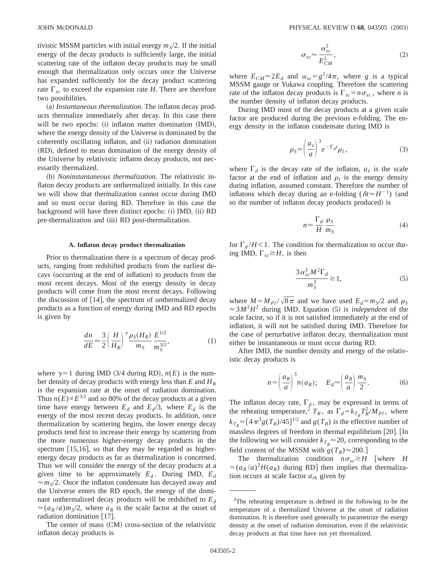tivistic MSSM particles with initial energy  $m<sub>S</sub>/2$ . If the initial energy of the decay products is sufficiently large, the initial scattering rate of the inflaton decay products may be small enough that thermalization only occurs once the Universe has expanded sufficiently for the decay product scattering rate  $\Gamma_{sc}$  to exceed the expansion rate *H*. There are therefore two possibilities.

(a) *Instantaneous thermalization*. The inflaton decay products thermalize immediately after decay. In this case there will be two epochs:  $(i)$  inflaton matter domination  $(IMD)$ , where the energy density of the Universe is dominated by the coherently oscillating inflaton, and (ii) radiation domination (RD), defined to mean domination of the energy density of the Universe by relativistic inflaton decay products, not necessarily thermalized.

~b! *Noninstantaneous thermalization.* The relativistic inflaton decay products are unthermalized initially. In this case we will show that thermalization cannot occur during IMD and so must occur during RD. Therefore in this case the background will have three distinct epochs:  $(i)$  IMD,  $(ii)$  RD pre-thermalization and (iii) RD post-thermalization.

#### **A. Inflaton decay product thermalization**

Prior to thermalization there is a spectrum of decay products, ranging from redshifted products from the earliest decays (occurring at the end of inflation) to products from the most recent decays. Most of the energy density in decay products will come from the most recent decays. Following the discussion of  $[14]$ , the spectrum of unthermalized decay products as a function of energy during IMD and RD epochs is given by

$$
\frac{dn}{dE} \approx \frac{3}{2} \left(\frac{H}{H_R}\right)^{\gamma} \frac{\rho_S(H_R)}{m_S} \frac{E^{1/2}}{m_S^{3/2}},\tag{1}
$$

where  $\gamma=1$  during IMD (3/4 during RD),  $n(E)$  is the number density of decay products with energy less than *E* and *HR* is the expansion rate at the onset of radiation domination. Thus  $n(E) \propto E^{3/2}$  and so 80% of the decay products at a given time have energy between  $E_d$  and  $E_d/3$ , where  $E_d$  is the energy of the most recent decay products. In addition, once thermalization by scattering begins, the lower energy decay products tend first to increase their energy by scattering from the more numerous higher-energy decay products in the spectrum  $[15,16]$ , so that they may be regarded as higherenergy decay products as far as thermalization is concerned. Thus we will consider the energy of the decay products at a given time to be approximately  $E_d$ . During IMD,  $E_d$  $\approx$   $m<sub>S</sub>/2$ . Once the inflaton condensate has decayed away and the Universe enters the RD epoch, the energy of the dominant unthermalized decay products will be redshifted to  $E_d$  $\approx$  ( $a_R/a$ ) $m_S/2$ , where  $a_R$  is the scale factor at the onset of radiation domination  $[17]$ .

The center of mass  $(CM)$  cross-section of the relativistic inflaton decay products is

$$
\sigma_{sc} \approx \frac{\alpha_{sc}^2}{E_{CM}^2},\tag{2}
$$

where  $E_{CM} \approx 2E_d$  and  $\alpha_{sc} = g^2/4\pi$ , where *g* is a typical MSSM gauge or Yukawa coupling. Therefore the scattering rate of the inflaton decay products is  $\Gamma_{sc} = n\sigma_{sc}$ , where *n* is the number density of inflaton decay products.

During IMD most of the decay products at a given scale factor are produced during the previous e-folding. The energy density in the inflaton condensate during IMD is

$$
\rho_S = \left(\frac{a_e}{a}\right)^3 e^{-\Gamma_d t} \rho_I,
$$
\n(3)

where  $\Gamma_d$  is the decay rate of the inflaton,  $a_e$  is the scale factor at the end of inflation and  $\rho_I$  is the energy density during inflation, assumed constant. Therefore the number of inflatons which decay during an e-folding ( $\delta t \approx H^{-1}$ ) (and so the number of inflaton decay products produced) is

$$
n \approx \frac{\Gamma_d}{H} \frac{\rho_S}{m_S} \tag{4}
$$

for  $\Gamma_d / H \leq 1$ . The condition for thermalization to occur during IMD,  $\Gamma_{sc} \geq H$ , is then

$$
\frac{3\alpha_{sc}^2 M^2 \Gamma_d}{m_S^3} \gtrsim 1,\tag{5}
$$

where  $M = M_{Pl}/\sqrt{8\pi}$  and we have used  $E_d = m_S/2$  and  $\rho_S$  $\approx 3M^2H^2$  during IMD. Equation (5) is *independent* of the scale factor, so if it is not satisfied immediately at the end of inflation, it will not be satisfied during IMD. Therefore for the case of perturbative inflaton decay, thermalization must either be instantaneous or must occur during RD.

After IMD, the number density and energy of the relativistic decay products is

$$
n = \left(\frac{a_R}{a}\right)^3 n(a_R); \quad E_d \approx \left(\frac{a_R}{a}\right) \frac{m_S}{2}.
$$
 (6)

The inflaton decay rate,  $\Gamma_d$ , may be expressed in terms of the reheating temperature,<sup>2</sup>  $T_R$ , as  $\Gamma_d = k_{T_R} T_R^2 / M_{Pl}$ , where  $k_{T_R}$  =  $[4\pi^3 g(T_R)/45]^{1/2}$  and  $g(T_R)$  is the effective number of massless degrees of freedom in thermal equilibrium [20]. [In the following we will consider  $k_{T_R} \approx 20$ , corresponding to the field content of the MSSM with  $g(T_R) \approx 200$ .

The thermalization condition  $n\sigma_{sc} \geq H$  [where *H*  $=(a_R/a)^2H(a_R)$  during RD] then implies that thermalization occurs at scale factor *ath* given by

 $2$ The reheating temperature is defined in the following to be the temperature of a thermalized Universe at the onset of radiation domination. It is therefore used generally to parametrize the energy density at the onset of radiation domination, even if the relativistic decay products at that time have not yet thermalized.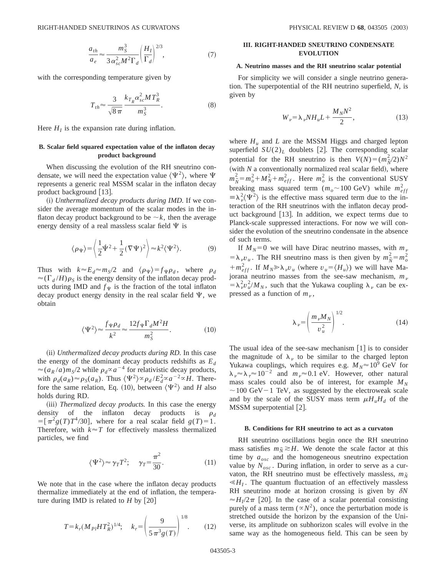$$
\frac{a_{th}}{a_e} \approx \frac{m_S^3}{3\alpha_{sc}^2 M^2 \Gamma_d} \left(\frac{H_I}{\Gamma_d}\right)^{2/3},\tag{7}
$$

with the corresponding temperature given by

$$
T_{th} \approx \frac{3}{\sqrt{8\pi}} \frac{k_{T_R} \alpha_{sc}^2 M T_R^3}{m_S^3}.
$$
 (8)

Here  $H_I$  is the expansion rate during inflation.

# **B. Scalar field squared expectation value of the inflaton decay product background**

When discussing the evolution of the RH sneutrino condensate, we will need the expectation value  $\langle \Psi^2 \rangle$ , where  $\Psi$ represents a generic real MSSM scalar in the inflaton decay product background  $[13]$ .

(i) Unthermalized decay products during IMD. If we consider the average momentum of the scalar modes in the inflaton decay product background to be  $\sim k$ , then the average energy density of a real massless scalar field  $\Psi$  is

$$
\langle \rho_{\Psi} \rangle = \left\langle \frac{1}{2} \Psi^2 + \frac{1}{2} (\nabla \Psi)^2 \right\rangle \approx k^2 \langle \Psi^2 \rangle. \tag{9}
$$

Thus with  $k \approx E_d \approx m_S/2$  and  $\langle \rho_{\Psi} \rangle = f_{\Psi} \rho_d$ , where  $\rho_d$  $\approx (\Gamma_d/H)\rho_s$  is the energy density of the inflaton decay products during IMD and  $f_{\Psi}$  is the fraction of the total inflaton decay product energy density in the real scalar field  $\Psi$ , we obtain

$$
\langle \Psi^2 \rangle \approx \frac{f_{\Psi} \rho_d}{k^2} \approx \frac{12 f_{\Psi} \Gamma_d M^2 H}{m_S^2}.
$$
 (10)

(ii) *Unthermalized decay products during RD*. In this case the energy of the dominant decay products redshifts as  $E_d$  $\approx$  ( $a_R/a$ ) $m_S/2$  while  $\rho_d \propto a^{-4}$  for relativistic decay products, with  $\rho_d(a_R) \approx \rho_S(a_R)$ . Thus  $\langle \Psi^2 \rangle \propto \rho_d / E_d^2 \propto a^{-2} \propto H$ . Therefore the same relation, Eq. (10), between  $\langle \Psi^2 \rangle$  and *H* also holds during RD.

(iii) *Thermalized decay products*. In this case the energy density of the inflaton decay products is  $\rho_d$  $= [\pi^2 g(T) T^4/30]$ , where for a real scalar field  $g(T) = 1$ . Therefore, with  $k \approx T$  for effectively massless thermalized particles, we find

$$
\langle \Psi^2 \rangle \approx \gamma_T T^2; \quad \gamma_T = \frac{\pi^2}{30}.
$$
 (11)

We note that in the case where the inflaton decay products thermalize immediately at the end of inflation, the temperature during IMD is related to  $H$  by  $[20]$ 

$$
T = k_r (M_{Pl} H T_R^2)^{1/4}; \quad k_r = \left(\frac{9}{5\pi^3 g(T)}\right)^{1/8}.
$$
 (12)

# **III. RIGHT-HANDED SNEUTRINO CONDENSATE EVOLUTION**

## **A. Neutrino masses and the RH sneutrino scalar potential**

For simplicity we will consider a single neutrino generation. The superpotential of the RH neutrino superfield, *N*, is given by

$$
W_{\nu} = \lambda_{\nu} N H_{\mu} L + \frac{M_N N^2}{2},
$$
\n(13)

where  $H_u$  and  $L$  are the MSSM Higgs and charged lepton superfield  $SU(2)_L$  doublets [2]. The corresponding scalar potential for the RH sneutrino is then  $V(N) = (m_N^2/2)N^2$ (with  $N$  a conventionally normalized real scalar field), where  $m_{\tilde{N}}^2 = m_o^2 + M_N^2 + m_{eff}^2$ . Here  $m_o^2$  is the conventional SUSY breaking mass squared term  $(m_o \sim 100 \text{ GeV})$  while  $m_{eff}^2$  $\equiv \lambda_p^2 \langle \Psi^2 \rangle$  is the effective mass squared term due to the interaction of the RH sneutrinos with the inflaton decay product background  $[13]$ . In addition, we expect terms due to Planck-scale suppressed interactions. For now we will consider the evolution of the sneutrino condensate in the absence of such terms.

If  $M_N=0$  we will have Dirac neutrino masses, with  $m_\nu$  $=$  $\lambda_{\nu}v_{\mu}$ . The RH sneutrino mass is then given by  $m_{\tilde{N}}^2 = m_o^2$  $+m_{eff}^2$ . If  $M_N \gg \lambda_\nu v_u$  (where  $v_u = \langle H_u \rangle$ ) we will have Majorana neutrino masses from the see-saw mechanism,  $m_{\nu}$  $= \lambda_{\nu}^2 v_u^2 / M_N$ , such that the Yukawa coupling  $\lambda_{\nu}$  can be expressed as a function of  $m_{\nu}$ ,

$$
\lambda_{\nu} = \left(\frac{m_{\nu} M_N}{v_{\mu}^2}\right)^{1/2}.\tag{14}
$$

The usual idea of the see-saw mechanism  $[1]$  is to consider the magnitude of  $\lambda_{\nu}$  to be similar to the charged lepton Yukawa couplings, which requires e.g.  $M_N \approx 10^9$  GeV for  $\lambda_v \approx \lambda_{\tau} \approx 10^{-2}$  and  $m_v \approx 0.1$  eV. However, other natural mass scales could also be of interest, for example  $M_N$  $\sim$ 100 GeV-1 TeV, as suggested by the electroweak scale and by the scale of the SUSY mass term  $\mu H_u H_d$  of the  $MSSM$  superpotential  $[2]$ .

#### **B. Conditions for RH sneutrino to act as a curvaton**

RH sneutrino oscillations begin once the RH sneutrino mass satisfies  $m_{\tilde{N}} \geq H$ . We denote the scale factor at this time by  $a_{osc}$  and the homogeneous sneutrino expectation value by  $N_{osc}$ . During inflation, in order to serve as a curvaton, the RH sneutrino must be effectively massless,  $m_{\tilde{N}}$  $\ll H$ <sub>I</sub>. The quantum fluctuation of an effectively massless RH sneutrino mode at horizon crossing is given by  $\delta N$  $\approx H_I/2\pi$  [20]. In the case of a scalar potential consisting purely of a mass term  $({\alpha}N^2)$ , once the perturbation mode is stretched outside the horizon by the expansion of the Universe, its amplitude on subhorizon scales will evolve in the same way as the homogeneous field. This can be seen by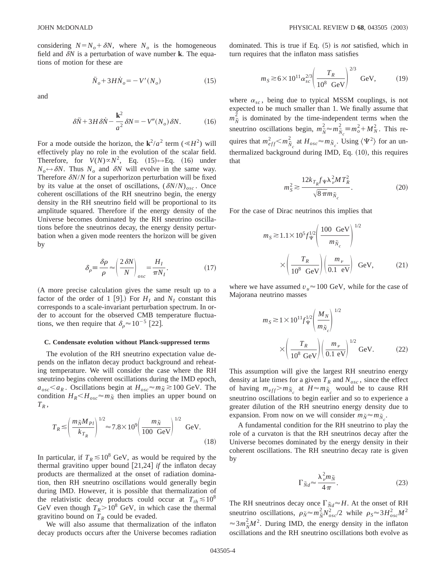considering  $N=N_o+\delta N$ , where  $N_o$  is the homogeneous field and  $\delta N$  is a perturbation of wave number **k**. The equations of motion for these are

$$
\ddot{N}_o + 3H\dot{N}_o = -V'(N_o) \tag{15}
$$

and

$$
\delta \ddot{N} + 3H \delta \dot{N} - \frac{\mathbf{k}^2}{a^2} \delta N = -V''(N_o) \delta N. \tag{16}
$$

For a mode outside the horizon, the  $k^2/a^2$  term ( $\ll H^2$ ) will effectively play no role in the evolution of the scalar field. Therefore, for  $V(N) \propto N^2$ , Eq.  $(15) \leftrightarrow$ Eq.  $(16)$  under  $N_o \leftrightarrow \delta N$ . Thus  $N_o$  and  $\delta N$  will evolve in the same way. Therefore  $\delta N/N$  for a superhorizon perturbation will be fixed by its value at the onset of oscillations,  $(\delta N/N)_{osc}$ . Once coherent oscillations of the RH sneutrino begin, the energy density in the RH sneutrino field will be proportional to its amplitude squared. Therefore if the energy density of the Universe becomes dominated by the RH sneutrino oscillations before the sneutrinos decay, the energy density perturbation when a given mode reenters the horizon will be given by

$$
\delta_{\rho} \equiv \frac{\delta \rho}{\rho} \approx \left(\frac{2 \delta N}{N}\right)_{osc} = \frac{H_I}{\pi N_I}.
$$
 (17)

(A more precise calculation gives the same result up to a factor of the order of 1 [9].) For  $H_I$  and  $N_I$  constant this corresponds to a scale-invariant perturbation spectrum. In order to account for the observed CMB temperature fluctuations, we then require that  $\delta_{\rho} \approx 10^{-5}$  [22].

#### **C. Condensate evolution without Planck-suppressed terms**

The evolution of the RH sneutrino expectation value depends on the inflaton decay product background and reheating temperature. We will consider the case where the RH sneutrino begins coherent oscillations during the IMD epoch,  $a_{osc} < a_R$ . Oscillations begin at  $H_{osc} \approx m_{\tilde{N}} \gtrsim 100$  GeV. The condition  $H_R \leq H_{osc} \approx m_{\tilde{N}}$  then implies an upper bound on  $T_R$ ,

$$
T_R \lesssim \left(\frac{m_{\tilde{N}}M_{Pl}}{k_{T_R}}\right)^{1/2} \approx 7.8 \times 10^9 \left(\frac{m_{\tilde{N}}}{100 \text{ GeV}}\right)^{1/2} \text{ GeV}.
$$
\n(18)

In particular, if  $T_R \lesssim 10^8$  GeV, as would be required by the thermal gravitino upper bound  $[21,24]$  *if* the inflaton decay products are thermalized at the onset of radiation domination, then RH sneutrino oscillations would generally begin during IMD. However, it is possible that thermalization of the relativistic decay products could occur at  $T_{th} \leq 10^8$ GeV even though  $T_R$ >10<sup>8</sup> GeV, in which case the thermal gravitino bound on  $T_R$  could be evaded.

We will also assume that thermalization of the inflaton decay products occurs after the Universe becomes radiation dominated. This is true if Eq.  $(5)$  is *not* satisfied, which in turn requires that the inflaton mass satisfies

$$
m_S \gtrsim 6 \times 10^{11} \alpha_{sc}^{2/3} \left( \frac{T_R}{10^8 \text{ GeV}} \right)^{2/3} \text{ GeV},
$$
 (19)

where  $\alpha_{sc}$ , being due to typical MSSM couplings, is not expected to be much smaller than 1. We finally assume that  $m_N^2$  is dominated by the time-independent terms when the sneutrino oscillations begin,  $m_{\tilde{N}}^2 \approx m_{\tilde{N}_c}^2 \equiv m_o^2 + M_N^2$ . This requires that  $m_{eff}^2 < m_{\tilde{N}_c}^2$  at  $H_{osc} \approx m_{\tilde{N}_c}$ . Using  $\langle \Psi^2 \rangle$  for an unthermalized background during IMD, Eq. (10), this requires that

$$
m_S^2 \ge \frac{12k_{T_R}f_{\Psi}\lambda_{\nu}^2MT_R^2}{\sqrt{8\pi}m_{\tilde{N}_c}}.\tag{20}
$$

For the case of Dirac neutrinos this implies that

$$
m_S \ge 1.1 \times 10^5 f_{\Psi}^{1/2} \left( \frac{100 \text{ GeV}}{m_{\tilde{N}_c}} \right)^{1/2}
$$

$$
\times \left( \frac{T_R}{10^8 \text{ GeV}} \right) \left( \frac{m_{\nu}}{0.1 \text{ eV}} \right) \text{ GeV}, \tag{21}
$$

where we have assumed  $v_u \approx 100 \text{ GeV}$ , while for the case of Majorana neutrino masses

$$
m_S \ge 1 \times 10^{11} f_{\Psi}^{1/2} \left( \frac{M_N}{m_{\tilde{N}_c}} \right)^{1/2}
$$

$$
\times \left( \frac{T_R}{10^8 \text{ GeV}} \right) \left( \frac{m_{\nu}}{0.1 \text{ eV}} \right)^{1/2} \text{GeV.}
$$
 (22)

This assumption will give the largest RH sneutrino energy density at late times for a given  $T_R$  and  $N_{osc}$ , since the effect of having  $m_{eff} > m_{\tilde{N}_c}$  at  $H \approx m_{\tilde{N}_c}$  would be to cause RH sneutrino oscillations to begin earlier and so to experience a greater dilution of the RH sneutrino energy density due to expansion. From now on we will consider  $m_{\tilde{N}} \approx m_{\tilde{N}_c}$ .

A fundamental condition for the RH sneutrino to play the role of a curvaton is that the RH sneutrinos decay after the Universe becomes dominated by the energy density in their coherent oscillations. The RH sneutrino decay rate is given by

$$
\Gamma \tilde{N} d \approx \frac{\lambda_{\nu}^2 m \tilde{N}}{4 \pi}.
$$
\n(23)

The RH sneutrinos decay once  $\Gamma_{\tilde{N}d} \approx H$ . At the onset of RH sneutrino oscillations,  $\rho_{\tilde{N}} \approx m_{\tilde{N}}^2 N_{osc}^2/2$  while  $\rho_S \approx 3 H_{osc}^2 M^2$  $\approx 3 m_{\tilde{N}}^2 M^2$ . During IMD, the energy density in the inflaton oscillations and the RH sneutrino oscillations both evolve as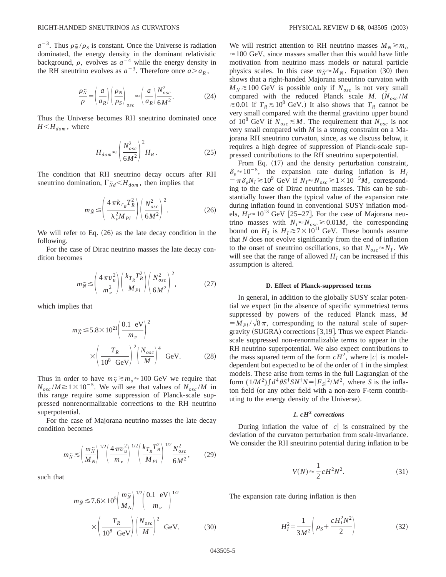$a^{-3}$ . Thus  $\rho \tilde{N} / \rho_S$  is constant. Once the Universe is radiation dominated, the energy density in the dominant relativistic background,  $\rho$ , evolves as  $a^{-4}$  while the energy density in the RH sneutrino evolves as  $a^{-3}$ . Therefore once  $a > a_R$ ,

$$
\frac{\rho_{\tilde{N}}}{\rho} = \left(\frac{a}{a_R}\right) \left(\frac{\rho_N}{\rho_S}\right)_{osc} \approx \left(\frac{a}{a_R}\right) \frac{N_{osc}^2}{6M^2}.
$$
 (24)

Thus the Universe becomes RH sneutrino dominated once  $H < H_{dom}$ , where

$$
H_{dom} \approx \left(\frac{N_{osc}^2}{6M^2}\right)^2 H_R.
$$
 (25)

The condition that RH sneutrino decay occurs after RH sneutrino domination,  $\Gamma_{\tilde{N}d} < H_{dom}$ , then implies that

$$
m_{\widetilde{N}} \lesssim \left(\frac{4\,\pi k_{T_R} T_R^2}{\lambda_{\nu}^2 M_{Pl}}\right) \left(\frac{N_{osc}^2}{6M^2}\right)^2.
$$
 (26)

We will refer to Eq.  $(26)$  as the late decay condition in the following.

For the case of Dirac neutrino masses the late decay condition becomes

$$
m_{\tilde{N}} \lesssim \left(\frac{4\,\pi v_u^2}{m_\nu^2}\right) \left(\frac{k_{T_R} T_R^2}{M_{Pl}}\right) \left(\frac{N_{osc}^2}{6M^2}\right)^2, \tag{27}
$$

which implies that

$$
m_{\tilde{N}} \lesssim 5.8 \times 10^{21} \left( \frac{0.1 \text{ eV}}{m_{\nu}} \right)^2
$$

$$
\times \left( \frac{T_R}{10^8 \text{ GeV}} \right)^2 \left( \frac{N_{osc}}{M} \right)^4 \text{ GeV.}
$$
(28)

Thus in order to have  $m_{\tilde{N}} \gtrsim m_o \approx 100$  GeV we require that  $N_{osc}/M \ge 1 \times 10^{-5}$ . We will see that values of  $N_{osc}/M$  in this range require some suppression of Planck-scale suppressed nonrenormalizable corrections to the RH neutrino superpotential.

For the case of Majorana neutrino masses the late decay condition becomes

$$
m_{\tilde{N}} \lesssim \left(\frac{m_{\tilde{N}}}{M_N}\right)^{1/2} \left(\frac{4\,\pi v_u^2}{m_{\nu}}\right)^{1/2} \left(\frac{k_{T_R} T_R^2}{M_{Pl}}\right)^{1/2} \frac{N_{osc}^2}{6M^2},\tag{29}
$$

such that

$$
m_{\tilde{N}} \le 7.6 \times 10^5 \left( \frac{m_{\tilde{N}}}{M_N} \right)^{1/2} \left( \frac{0.1 \text{ eV}}{m_{\nu}} \right)^{1/2}
$$

$$
\times \left( \frac{T_R}{10^8 \text{ GeV}} \right) \left( \frac{N_{osc}}{M} \right)^2 \text{ GeV.}
$$
(30)

We will restrict attention to RH neutrino masses  $M_N \gtrsim m_o$  $\approx$  100 GeV, since masses smaller than this would have little motivation from neutrino mass models or natural particle physics scales. In this case  $m\tilde{\gamma} \approx M_N$ . Equation (30) then shows that a right-handed Majorana sneutrino curvaton with  $M_N \ge 100$  GeV is possible only if  $N_{osc}$  is not very small compared with the reduced Planck scale *M*. (*Nosc* /*M*  $\approx 0.01$  if  $T_R \le 10^8$  GeV.) It also shows that  $T_R$  cannot be very small compared with the thermal gravitino upper bound of 10<sup>8</sup> GeV if  $N_{osc} \leq M$ . The requirement that  $N_{osc}$  is not very small compared with *M* is a strong constraint on a Majorana RH sneutrino curvaton, since, as we discuss below, it requires a high degree of suppression of Planck-scale suppressed contributions to the RH sneutrino superpotential.

From Eq.  $(17)$  and the density perturbation constraint,  $\delta_{\rho} \approx 10^{-5}$ , the expansion rate during inflation is *H<sub>I</sub>*  $\vec{a} = \pi \delta_{\rho} N_I \approx 10^9$  GeV if  $N_I \approx N_{osc} \approx 1 \times 10^{-5} M$ , corresponding to the case of Dirac neutrino masses. This can be substantially lower than the typical value of the expansion rate during inflation found in conventional SUSY inflation models,  $H_I \approx 10^{13}$  GeV [25–27]. For the case of Majorana neutrino masses with  $N_I \approx N_{osc} \ge 0.01M$ , the corresponding bound on  $H_I$  is  $H_I \gtrsim 7 \times 10^{11}$  GeV. These bounds assume that *N* does not evolve significantly from the end of inflation to the onset of sneutrino oscillations, so that  $N_{osc} \approx N_I$ . We will see that the range of allowed  $H<sub>I</sub>$  can be increased if this assumption is altered.

#### **D. Effect of Planck-suppressed terms**

In general, in addition to the globally SUSY scalar potential we expect (in the absence of specific symmetries) terms suppressed by powers of the reduced Planck mass, *M*  $= M_{Pl}/\sqrt{8\pi}$ , corresponding to the natural scale of supergravity (SUGRA) corrections  $[3,19]$ . Thus we expect Planckscale suppressed non-renormalizable terms to appear in the RH neutrino superpotential. We also expect contributions to the mass squared term of the form  $cH^2$ , where  $|c|$  is modeldependent but expected to be of the order of 1 in the simplest models. These arise from terms in the full Lagrangian of the form  $(1/M^2)\int d^4\theta S^{\dagger} S N^{\dagger} N = |F_S|^2/M^2$ , where *S* is the inflaton field (or any other field with a non-zero F-term contributing to the energy density of the Universe).

# *1. cH***<sup>2</sup>** *corrections*

During inflation the value of  $|c|$  is constrained by the deviation of the curvaton perturbation from scale-invariance. We consider the RH sneutrino potential during inflation to be

$$
V(N) \approx \frac{1}{2} c H^2 N^2. \tag{31}
$$

The expansion rate during inflation is then

$$
H_I^2 = \frac{1}{3M^2} \left( \rho_S + \frac{cH_I^2 N^2}{2} \right) \tag{32}
$$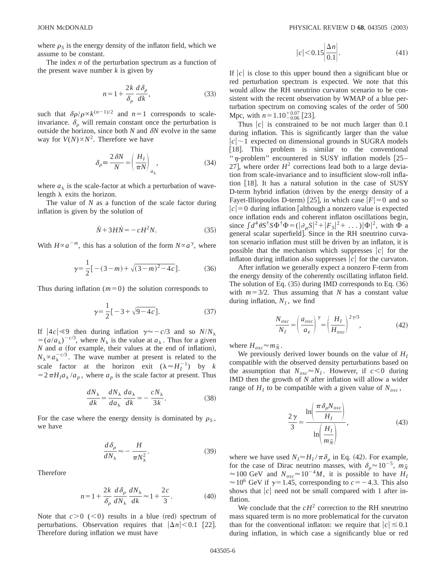where  $\rho<sub>S</sub>$  is the energy density of the inflaton field, which we assume to be constant.

The index *n* of the perturbation spectrum as a function of the present wave number  $k$  is given by

$$
n = 1 + \frac{2k}{\delta_{\rho}} \frac{d\delta_{\rho}}{dk},
$$
\n(33)

such that  $\delta\rho/\rho \propto k^{(n-1)/2}$  and  $n=1$  corresponds to scaleinvariance.  $\delta_{\rho}$  will remain constant once the perturbation is outside the horizon, since both  $N$  and  $\delta N$  evolve in the same way for  $V(N) \propto N^2$ . Therefore we have

$$
\delta_{\rho} = \frac{2 \delta N}{N} = \left(\frac{H_I}{\pi N}\right)_{a_{\lambda}},\tag{34}
$$

where  $a_{\lambda}$  is the scale-factor at which a perturbation of wavelength  $\lambda$  exits the horizon.

The value of *N* as a function of the scale factor during inflation is given by the solution of

$$
\ddot{N} + 3H\dot{N} = -cH^2N.
$$
 (35)

With  $H \propto a^{-m}$ , this has a solution of the form  $N \propto a^{\gamma}$ , where

$$
\gamma = \frac{1}{2} \left[ -(3-m) + \sqrt{(3-m)^2 - 4c} \right].
$$
 (36)

Thus during inflation  $(m=0)$  the solution corresponds to

$$
\gamma = \frac{1}{2} [-3 + \sqrt{9 - 4c}].
$$
 (37)

If  $|4c| \le 9$  then during inflation  $\gamma \approx -c/3$  and so  $N/N_{\lambda}$  $=(a/a<sub>\lambda</sub>)<sup>-c/3</sup>$ , where  $N<sub>\lambda</sub>$  is the value at  $a<sub>\lambda</sub>$ . Thus for a given  $N$  and  $a$  (for example, their values at the end of inflation),  $N_{\lambda} \propto a_{\lambda}^{-c/3}$ . The wave number at present is related to the scale factor at the horizon exit  $(\lambda \approx H_I^{-1})$  by *k*  $=2\pi H_I a_\lambda /a_p$ , where  $a_p$  is the scale factor at present. Thus

$$
\frac{dN_{\lambda}}{dk} = \frac{dN_{\lambda}}{da_{\lambda}} \frac{da_{\lambda}}{dk} = -\frac{cN_{\lambda}}{3k}.
$$
 (38)

For the case where the energy density is dominated by  $\rho_s$ , we have

$$
\frac{d\delta_{\rho}}{dN_{\lambda}} \approx -\frac{H}{\pi N_{\lambda}^{2}}.\tag{39}
$$

Therefore

$$
n = 1 + \frac{2k}{\delta_{\rho}} \frac{d\delta_{\rho}}{dN_{\lambda}} \frac{dN_{\lambda}}{dk} \approx 1 + \frac{2c}{3}.
$$
 (40)

Note that  $c>0$  (<0) results in a blue (red) spectrum of perturbations. Observation requires that  $|\Delta n|$  < 0.1 [22]. Therefore during inflation we must have

$$
|c| < 0.15 \left| \frac{\Delta n}{0.1} \right| \tag{41}
$$

If  $|c|$  is close to this upper bound then a significant blue or red perturbation spectrum is expected. We note that this would allow the RH sneutrino curvaton scenario to be consistent with the recent observation by WMAP of a blue perturbation spectrum on comoving scales of the order of 500 Mpc, with  $n=1.10^{+0.07}_{-0.06}$  [23].

Thus  $|c|$  is constrained to be not much larger than 0.1 during inflation. This is significantly larger than the value  $|c|$  ~ 1 expected on dimensional grounds in SUGRA models [18]. This problem is similar to the conventional " $\eta$ -problem" encountered in SUSY inflation models [25– 27, where order  $H^2$  corrections lead both to a large deviation from scale-invariance and to insufficient slow-roll inflation  $[18]$ . It has a natural solution in the case of SUSY D-term hybrid inflation (driven by the energy density of a Fayet-Illiopoulos D-term) [25], in which case  $|F|=0$  and so  $|c|=0$  during inflation [although a nonzero value is expected once inflation ends and coherent inflaton oscillations begin, since  $\int d^4\theta S^{\dagger}S\Phi^{\dagger}\Phi = (\left|\partial_{\mu}S\right|^2 + \left|F_S\right|^2 + \dots) |\Phi|^2$ , with  $\Phi$  a general scalar superfield]. Since in the RH sneutrino curvaton scenario inflation must still be driven by an inflaton, it is possible that the mechanism which suppresses  $|c|$  for the inflaton during inflation also suppresses  $|c|$  for the curvaton.

After inflation we generally expect a nonzero F-term from the energy density of the coherently oscillating inflaton field. The solution of Eq.  $(35)$  during IMD corresponds to Eq.  $(36)$ with  $m=3/2$ . Thus assuming that *N* has a constant value during inflation,  $N_I$ , we find

$$
\frac{N_{osc}}{N_I} = \left(\frac{a_{osc}}{a_e}\right)^{\gamma} = \left(\frac{H_I}{H_{osc}}\right)^{2\gamma/3},\tag{42}
$$

where  $H_{osc} \approx m_{\tilde{N}}$ .

We previously derived lower bounds on the value of  $H_I$ compatible with the observed density perturbations based on the assumption that  $N_{osc} \approx N_I$ . However, if  $c < 0$  during IMD then the growth of *N* after inflation will allow a wider range of  $H_I$  to be compatible with a given value of  $N_{osc}$ ,

$$
\frac{2\gamma}{3} = \frac{\ln\left(\frac{\pi \delta_{\rho} N_{osc}}{H_I}\right)}{\ln\left(\frac{H_I}{m_{\tilde{N}}}\right)},
$$
(43)

where we have used  $N_I \approx H_I / \pi \delta_\rho$  in Eq. (42). For example, for the case of Dirac neutrino masses, with  $\delta_{\rho} \approx 10^{-5}$ ,  $m_{\tilde{N}}$  $\approx$  100 GeV and  $N_{osc} \approx 10^{-4}M$ , it is possible to have  $H_I$  $\approx$  10<sup>6</sup> GeV if  $\gamma$ =1.45, corresponding to *c* = -4.3. This also shows that  $|c|$  need not be small compared with 1 after inflation.

We conclude that the  $cH^2$  correction to the RH sneutrino mass squared term is no more problematical for the curvaton than for the conventional inflaton: we require that  $|c| \lesssim 0.1$ during inflation, in which case a significantly blue or red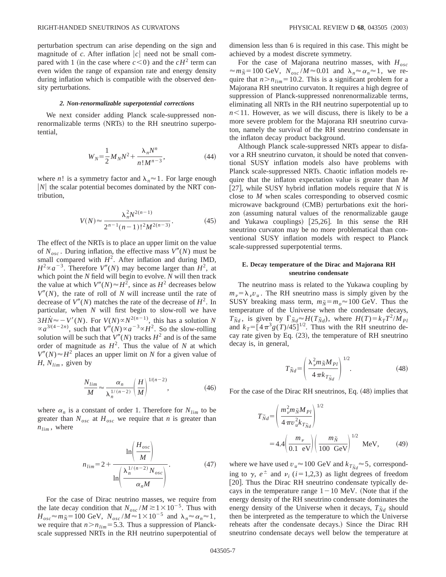perturbation spectrum can arise depending on the sign and magnitude of *c*. After inflation  $|c|$  need not be small compared with 1 (in the case where  $c < 0$ ) and the  $cH<sup>2</sup>$  term can even widen the range of expansion rate and energy density during inflation which is compatible with the observed density perturbations.

#### *2. Non-renormalizable superpotential corrections*

We next consider adding Planck scale-suppressed nonrenormalizable terms (NRTs) to the RH sneutrino superpotential,

$$
W_N = \frac{1}{2} M_N N^2 + \frac{\lambda_n N^n}{n! M^{n-3}},
$$
\n(44)

where *n*! is a symmetry factor and  $\lambda_n \approx 1$ . For large enough  $|N|$  the scalar potential becomes dominated by the NRT contribution,

$$
V(N) \approx \frac{\lambda_n^2 N^{2(n-1)}}{2^{n-1} (n-1)!^2 M^{2(n-3)}}.
$$
 (45)

The effect of the NRTs is to place an upper limit on the value of  $N_{osc}$ . During inflation, the effective mass  $V''(N)$  must be small compared with  $H^2$ . After inflation and during IMD,  $H^2 \propto a^{-3}$ . Therefore *V*<sup>*n*</sup>(*N*) may become larger than  $H^2$ , at which point the *N* field will begin to evolve. *N* will then track the value at which  $V''(N) \approx H^2$ , since as  $H^2$  decreases below  $V''(N)$ , the rate of roll of *N* will increase until the rate of decrease of  $V''(N)$  matches the rate of the decrease of  $H^2$ . In particular, when *N* will first begin to slow-roll we have  $3H\dot{N} \approx -V'(N)$ . For  $V(N) \propto N^{2(n-1)}$ , this has a solution *N*  $\propto a^{3/(4-2n)}$ , such that  $V''(N) \propto a^{-3} \propto H^2$ . So the slow-rolling solution will be such that  $V''(N)$  tracks  $H^2$  and is of the same order of magnitude as  $H^2$ . Thus the value of *N* at which  $V''(N) \approx H^2$  places an upper limit on *N* for a given value of  $H, N_{lim},$  given by

$$
\frac{N_{lim}}{M} \approx \frac{\alpha_n}{\lambda_n^{1/(n-2)}} \left(\frac{H}{M}\right)^{1/(n-2)},\tag{46}
$$

where  $\alpha_n$  is a constant of order 1. Therefore for  $N_{lim}$  to be greater than  $N_{osc}$  at  $H_{osc}$  we require that *n* is greater than  $n_{lim}$ , where

$$
n_{lim} = 2 + \frac{\ln\left(\frac{H_{osc}}{M}\right)}{\ln\left(\frac{\lambda_n^{1/(n-2)}N_{osc}}{\alpha_n M}\right)}.
$$
 (47)

For the case of Dirac neutrino masses, we require from the late decay condition that  $N_{osc}/M \gtrsim 1 \times 10^{-5}$ . Thus with  $H_{osc} \approx m_{\tilde{N}} = 100$  GeV,  $N_{osc}/M \approx 1 \times 10^{-5}$  and  $\lambda_n \approx \alpha_n \approx 1$ , we require that  $n > n_{lim} = 5.3$ . Thus a suppression of Planckscale suppressed NRTs in the RH neutrino superpotential of dimension less than 6 is required in this case. This might be achieved by a modest discrete symmetry.

For the case of Majorana neutrino masses, with  $H_{osc}$  $\approx m_{\tilde{N}} = 100$  GeV,  $N_{osc}/M \approx 0.01$  and  $\lambda_n \approx \alpha_n \approx 1$ , we require that  $n > n_{lim} = 10.2$ . This is a significant problem for a Majorana RH sneutrino curvaton. It requires a high degree of suppression of Planck-suppressed nonrenormalizable terms, eliminating all NRTs in the RH neutrino superpotential up to  $n<11$ . However, as we will discuss, there is likely to be a more severe problem for the Majorana RH sneutrino curvaton, namely the survival of the RH sneutrino condensate in the inflaton decay product background.

Although Planck scale-suppressed NRTs appear to disfavor a RH sneutrino curvaton, it should be noted that conventional SUSY inflation models also have problems with Planck scale-suppressed NRTs. Chaotic inflation models require that the inflaton expectation value is greater than *M* [27], while SUSY hybrid inflation models require that  *is* close to *M* when scales corresponding to observed cosmic microwave background (CMB) perturbations exit the horizon (assuming natural values of the renormalizable gauge and Yukawa couplings)  $[25,26]$ . In this sense the RH sneutrino curvaton may be no more problematical than conventional SUSY inflation models with respect to Planck scale-suppressed superpotential terms.

# **E. Decay temperature of the Dirac and Majorana RH sneutrino condensate**

The neutrino mass is related to the Yukawa coupling by  $m_{\nu} = \lambda_{\nu} v_{\nu}$ . The RH sneutrino mass is simply given by the SUSY breaking mass term,  $m_{\tilde{N}} = m_o \approx 100$  GeV. Thus the temperature of the Universe when the condensate decays,  $T_{\tilde{N}d}$ , is given by  $\Gamma_{\tilde{N}d} \approx H(T_{\tilde{N}d})$ , where  $H(T) = k_T T^2 / M_{Pl}$ and  $k_T = [4\pi^3 g(T)/45]^{1/2}$ . Thus with the RH sneutrino decay rate given by Eq.  $(23)$ , the temperature of RH sneutrino decay is, in general,

$$
T_{\tilde{N}d} = \left(\frac{\lambda_{\nu}^2 m_{\tilde{N}} M_{Pl}}{4 \pi k_{T_{\tilde{N}d}}}\right)^{1/2}.
$$
 (48)

For the case of the Dirac RH sneutrinos, Eq. (48) implies that

$$
T_{\tilde{N}d} = \left(\frac{m_{\nu}^2 m_{\tilde{N}} M_{Pl}}{4 \pi v_{\mu}^2 k_{T_{\tilde{N}d}}}\right)^{1/2}
$$
  
= 4.4  $\left(\frac{m_{\nu}}{0.1 \text{ eV}}\right) \left(\frac{m_{\tilde{N}}}{100 \text{ GeV}}\right)^{1/2} \text{ MeV},$  (49)

where we have used  $v_u \approx 100 \text{ GeV}$  and  $k_{T_M^{\sim}} \approx 5$ , corresponding to  $\gamma$ ,  $e^{\pm}$  and  $\nu_i$  (*i*=1,2,3) as light degrees of freedom [20]. Thus the Dirac RH sneutrino condensate typically decays in the temperature range  $1-10$  MeV. (Note that if the energy density of the RH sneutrino condensate dominates the energy density of the Universe when it decays,  $T_{Nd}$  should then be interpreted as the temperature to which the Universe reheats after the condensate decays.) Since the Dirac RH sneutrino condensate decays well below the temperature at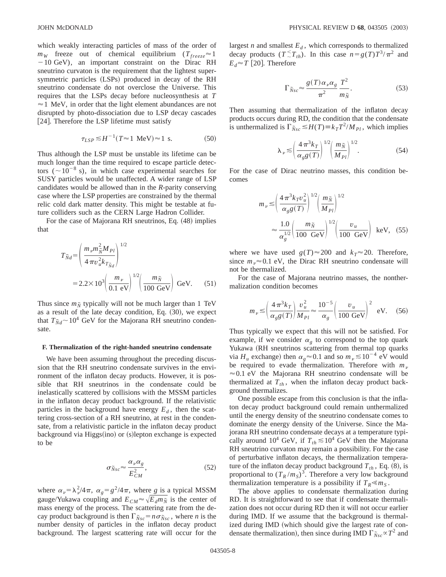which weakly interacting particles of mass of the order of  $m_W$  freeze out of chemical equilibrium ( $T_{freeze} \approx 1$ )  $-10$  GeV), an important constraint on the Dirac RH sneutrino curvaton is the requirement that the lightest supersymmetric particles (LSPs) produced in decay of the RH sneutrino condensate do not overclose the Universe. This requires that the LSPs decay before nucleosynthesis at *T*  $\approx$  1 MeV, in order that the light element abundances are not disrupted by photo-dissociation due to LSP decay cascades [24]. Therefore the LSP lifetime must satisfy

$$
\tau_{LSP} \le H^{-1}(T \approx 1 \text{ MeV}) \approx 1 \text{ s.}
$$
 (50)

Thus although the LSP must be unstable its lifetime can be much longer than the time required to escape particle detectors ( $\sim 10^{-8}$  s), in which case experimental searches for SUSY particles would be unaffected. A wider range of LSP candidates would be allowed than in the *R*-parity conserving case where the LSP properties are constrained by the thermal relic cold dark matter density. This might be testable at future colliders such as the CERN Large Hadron Collider.

For the case of Majorana RH sneutrinos, Eq.  $(48)$  implies that

$$
T_{\tilde{N}d} = \left(\frac{m_{\nu}m_{\tilde{N}}^2M_{Pl}}{4\pi v_{\mu}^2k_{T\tilde{N}d}}\right)^{1/2}
$$
  
= 2.2×10<sup>3</sup> $\left(\frac{m_{\nu}}{0.1 \text{ eV}}\right)^{1/2} \left(\frac{m_{\tilde{N}}}{100 \text{ GeV}}\right) \text{ GeV}.$  (51)

Thus since  $m_N^{\gamma}$  typically will not be much larger than 1 TeV as a result of the late decay condition, Eq.  $(30)$ , we expect that  $T_{\tilde{N}d} \sim 10^4$  GeV for the Majorana RH sneutrino condensate.

### **F. Thermalization of the right-handed sneutrino condensate**

We have been assuming throughout the preceding discussion that the RH sneutrino condensate survives in the environment of the inflaton decay products. However, it is possible that RH sneutrinos in the condensate could be inelastically scattered by collisions with the MSSM particles in the inflaton decay product background. If the relativistic particles in the background have energy  $E_d$ , then the scattering cross-section of a RH sneutrino, at rest in the condensate, from a relativistic particle in the inflaton decay product background via Higgs $(ino)$  or  $(s)$ lepton exchange is expected to be

$$
\sigma_{\tilde{N} s c} \approx \frac{\alpha_{\nu} \alpha_{g}}{E_{CM}^{2}},\tag{52}
$$

where  $\alpha_{\nu} = \lambda_{\nu}^2/4\pi$ ,  $\alpha_{g} = g^2/4\pi$ , where *g* is a typical MSSM gauge/Yukawa coupling and  $E_{CM} \approx \sqrt{E_d m_N}$  is the center of mass energy of the process. The scattering rate from the decay product background is then  $\Gamma_{\tilde{N}sc} = n\sigma_{\tilde{N}sc}$ , where *n* is the number density of particles in the inflaton decay product background. The largest scattering rate will occur for the largest *n* and smallest  $E_d$ , which corresponds to thermalized decay products  $(T \leq T_{th})$ . In this case  $n = g(T)T^3/\pi^2$  and  $E_d \approx T$  [20]. Therefore

$$
\Gamma_{\tilde{N}sc} \approx \frac{g(T)\alpha_{\nu}\alpha_{g}}{\pi^{2}} \frac{T^{2}}{m_{\tilde{N}}}.
$$
\n(53)

Then assuming that thermalization of the inflaton decay products occurs during RD, the condition that the condensate is unthermalized is  $\Gamma_{Nsc} \leq H(T) \equiv k_T T^2 / M_{Pl}$ , which implies

$$
\lambda_{\nu} \lesssim \left(\frac{4\,\pi^3 k_T}{\alpha_g g(T)}\right)^{1/2} \left(\frac{m_{\tilde{N}}}{M_{Pl}}\right)^{1/2}.\tag{54}
$$

For the case of Dirac neutrino masses, this condition becomes

$$
m_{\nu} \lesssim \left(\frac{4\pi^3 k_T v_u^2}{\alpha_g g(T)}\right)^{1/2} \left(\frac{m_{\tilde{N}}}{M_{Pl}}\right)^{1/2}
$$

$$
\approx \frac{1.0}{\alpha_g^{1/2}} \left(\frac{m_{\tilde{N}}}{100 \text{ GeV}}\right)^{1/2} \left(\frac{v_u}{100 \text{ GeV}}\right) \text{ keV}, \quad (55)
$$

where we have used  $g(T) \approx 200$  and  $k_T \approx 20$ . Therefore, since  $m_v \approx 0.1$  eV, the Dirac RH sneutrino condensate will not be thermalized.

For the case of Majorana neutrino masses, the nonthermalization condition becomes

$$
m_{\nu} \lesssim \left(\frac{4\pi^3 k_T}{\alpha_g g(T)}\right) \frac{v_u^2}{M_{Pl}} \approx \frac{10^{-5}}{\alpha_g} \left(\frac{v_u}{100 \text{ GeV}}\right)^2 \text{ eV.}
$$
 (56)

Thus typically we expect that this will not be satisfied. For example, if we consider  $\alpha_g$  to correspond to the top quark Yukawa (RH sneutrinos scattering from thermal top quarks via  $H_u$  exchange) then  $\alpha_g \approx 0.1$  and so  $m_v \le 10^{-4}$  eV would be required to evade thermalization. Therefore with  $m_{\nu}$  $\approx 0.1$  eV the Majorana RH sneutrino condensate will be thermalized at  $T_{th}$ , when the inflaton decay product background thermalizes.

One possible escape from this conclusion is that the inflaton decay product background could remain unthermalized until the energy density of the sneutrino condensate comes to dominate the energy density of the Universe. Since the Majorana RH sneutrino condensate decays at a temperature typically around 10<sup>4</sup> GeV, if  $T_{th} \le 10^4$  GeV then the Majorana RH sneutrino curvaton may remain a possibility. For the case of perturbative inflaton decays, the thermalization temperature of the inflaton decay product background  $T_{th}$ , Eq. (8), is proportional to  $(T_R/m_S)^3$ . Therefore a very low background thermalization temperature is a possibility if  $T_R \ll m_S$ .

The above applies to condensate thermalization during RD. It is straightforward to see that if condensate thermalization does not occur during RD then it will not occur earlier during IMD. If we assume that the background is thermalized during IMD (which should give the largest rate of condensate thermalization), then since during IMD  $\Gamma_{Nsc} \propto T^2$  and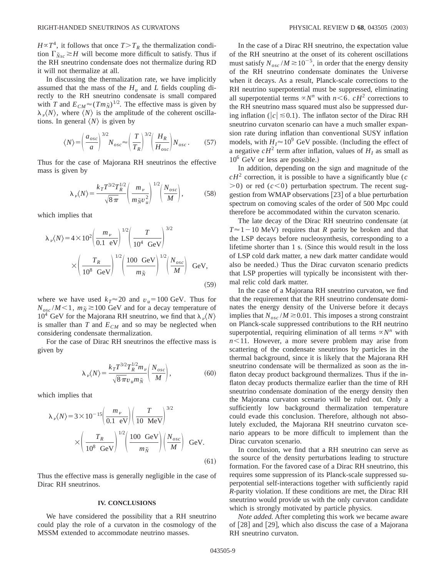$H \propto T^4$ , it follows that once  $T>T_R$  the thermalization condition  $\Gamma_{Nsc} \gtrsim H$  will become more difficult to satisfy. Thus if the RH sneutrino condensate does not thermalize during RD it will not thermalize at all.

In discussing the thermalization rate, we have implicitly assumed that the mass of the  $H_u$  and *L* fields coupling directly to the RH sneutrino condensate is small compared with *T* and  $E_{CM} \approx (Tm_{\tilde{N}})^{1/2}$ . The effective mass is given by  $\lambda_v \langle N \rangle$ , where  $\langle N \rangle$  is the amplitude of the coherent oscillations. In general  $\langle N \rangle$  is given by

$$
\langle N \rangle = \left(\frac{a_{osc}}{a}\right)^{3/2} N_{osc} \approx \left(\frac{T}{T_R}\right)^{3/2} \left(\frac{H_R}{H_{osc}}\right) N_{osc}.
$$
 (57)

Thus for the case of Majorana RH sneutrinos the effective mass is given by

$$
\lambda_{\nu}\langle N\rangle = \frac{k_{T}T^{3/2}T_{R}^{1/2}}{\sqrt{8\,\pi}} \left(\frac{m_{\nu}}{m_{\tilde{N}}v_{u}^{2}}\right)^{1/2} \left(\frac{N_{osc}}{M}\right),\tag{58}
$$

which implies that

$$
\lambda_{\nu} \langle N \rangle = 4 \times 10^{2} \left( \frac{m_{\nu}}{0.1 \text{ eV}} \right)^{1/2} \left( \frac{T}{10^{4} \text{ GeV}} \right)^{3/2}
$$

$$
\times \left( \frac{T_{R}}{10^{8} \text{ GeV}} \right)^{1/2} \left( \frac{100 \text{ GeV}}{m_{\tilde{N}}} \right)^{1/2} \left( \frac{N_{osc}}{M} \right) \text{ GeV}, \tag{59}
$$

where we have used  $k_T \approx 20$  and  $v_u = 100$  GeV. Thus for  $N_{osc}/M$ <1,  $m_{\tilde{N}} \gtrsim 100$  GeV and for a decay temperature of 10<sup>4</sup> GeV for the Majorana RH sneutrino, we find that  $\lambda_v \langle N \rangle$ is smaller than  $T$  and  $E_{CM}$  and so may be neglected when considering condensate thermalization.

For the case of Dirac RH sneutrinos the effective mass is given by

$$
\lambda_{\nu} \langle N \rangle = \frac{k_{T} T^{3/2} T_{R}^{1/2} m_{\nu}}{\sqrt{8 \pi \nu_{u} m_{\tilde{N}}}} \bigg( \frac{N_{osc}}{M} \bigg), \tag{60}
$$

which implies that

$$
\lambda_{\nu} \langle N \rangle = 3 \times 10^{-15} \left( \frac{m_{\nu}}{0.1 \text{ eV}} \right) \left( \frac{T}{10 \text{ MeV}} \right)^{3/2}
$$

$$
\times \left( \frac{T_R}{10^8 \text{ GeV}} \right)^{1/2} \left( \frac{100 \text{ GeV}}{m_{\tilde{N}}} \right) \left( \frac{N_{osc}}{M} \right) \text{ GeV.}
$$
(61)

Thus the effective mass is generally negligible in the case of Dirac RH sneutrinos.

#### **IV. CONCLUSIONS**

We have considered the possibility that a RH sneutrino could play the role of a curvaton in the cosmology of the MSSM extended to accommodate neutrino masses.

In the case of a Dirac RH sneutrino, the expectation value of the RH sneutrino at the onset of its coherent oscillations must satisfy  $N_{osc}/M \gtrsim 10^{-5}$ , in order that the energy density of the RH sneutrino condensate dominates the Universe when it decays. As a result, Planck-scale corrections to the RH neutrino superpotential must be suppressed, eliminating all superpotential terms  $\propto N^n$  with  $n \leq 6$ . *cH*<sup>2</sup> corrections to the RH sneutrino mass squared must also be suppressed during inflation ( $|c| \le 0.1$ ). The inflaton sector of the Dirac RH sneutrino curvaton scenario can have a much smaller expansion rate during inflation than conventional SUSY inflation models, with  $H_I \approx 10^9$  GeV possible. (Including the effect of a negative  $cH^2$  term after inflation, values of  $H<sub>I</sub>$  as small as  $10^6$  GeV or less are possible.)

In addition, depending on the sign and magnitude of the  $cH^2$  correction, it is possible to have a significantly blue (*c*  $>0$ ) or red ( $c$ <0) perturbation spectrum. The recent suggestion from WMAP observations  $[23]$  of a blue perturbation spectrum on comoving scales of the order of 500 Mpc could therefore be accommodated within the curvaton scenario.

The late decay of the Dirac RH sneutrino condensate (at  $T \approx 1-10$  MeV) requires that *R* parity be broken and that the LSP decays before nucleosynthesis, corresponding to a lifetime shorter than  $1 \text{ s}$ . (Since this would result in the loss of LSP cold dark matter, a new dark matter candidate would also be needed.) Thus the Dirac curvaton scenario predicts that LSP properties will typically be inconsistent with thermal relic cold dark matter.

In the case of a Majorana RH sneutrino curvaton, we find that the requirement that the RH sneutrino condensate dominates the energy density of the Universe before it decays implies that  $N_{osc}/M \ge 0.01$ . This imposes a strong constraint on Planck-scale suppressed contributions to the RH neutrino superpotential, requiring elimination of all terms  $\alpha N^n$  with  $n<11$ . However, a more severe problem may arise from scattering of the condensate sneutrinos by particles in the thermal background, since it is likely that the Majorana RH sneutrino condensate will be thermalized as soon as the inflaton decay product background thermalizes. Thus if the inflaton decay products thermalize earlier than the time of RH sneutrino condensate domination of the energy density then the Majorana curvaton scenario will be ruled out. Only a sufficiently low background thermalization temperature could evade this conclusion. Therefore, although not absolutely excluded, the Majorana RH sneutrino curvaton scenario appears to be more difficult to implement than the Dirac curvaton scenario.

In conclusion, we find that a RH sneutrino can serve as the source of the density perturbations leading to structure formation. For the favored case of a Dirac RH sneutrino, this requires some suppression of its Planck-scale suppressed superpotential self-interactions together with sufficiently rapid *R*-parity violation. If these conditions are met, the Dirac RH sneutrino would provide us with the only curvaton candidate which is strongly motivated by particle physics.

*Note added.* After completing this work we became aware of  $[28]$  and  $[29]$ , which also discuss the case of a Majorana RH sneutrino curvaton.

 $\lambda$